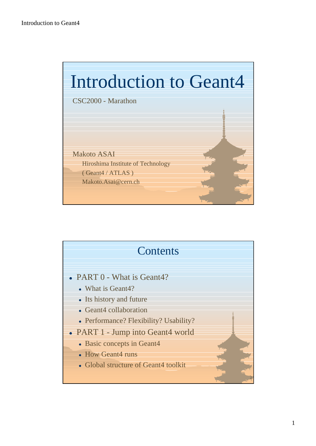

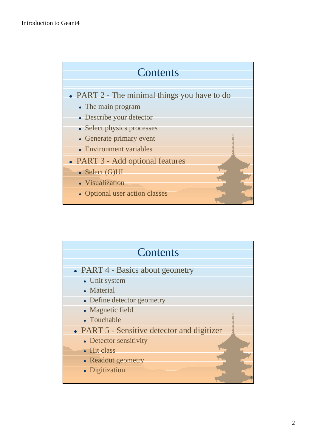### **Contents**

- PART 2 The minimal things you have to do
	- The main program
	- Describe your detector
	- Select physics processes
	- Generate primary event
	- Environment variables
- PART 3 Add optional features
	- $\bullet$  Select (G)UI
	- Visualization
	- Optional user action classes

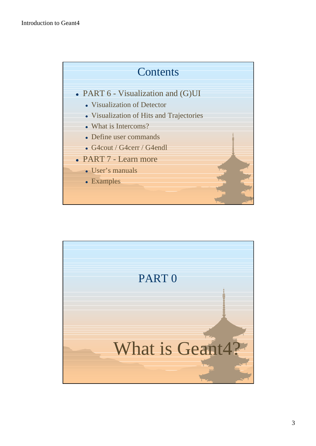

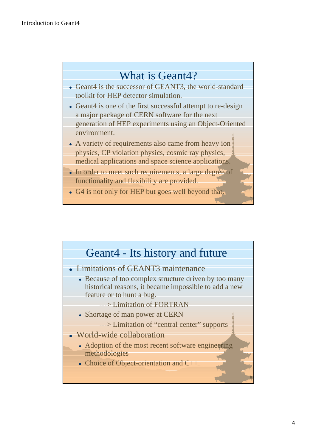### What is Geant4?

- Geant4 is the successor of GEANT3, the world-standard toolkit for HEP detector simulation.
- Geant4 is one of the first successful attempt to re-design a major package of CERN software for the next generation of HEP experiments using an Object-Oriented environment.
- A variety of requirements also came from heavy ion physics, CP violation physics, cosmic ray physics, medical applications and space science applications.
- In order to meet such requirements, a large degree of functionality and flexibility are provided.
- G4 is not only for HEP but goes well beyond that.

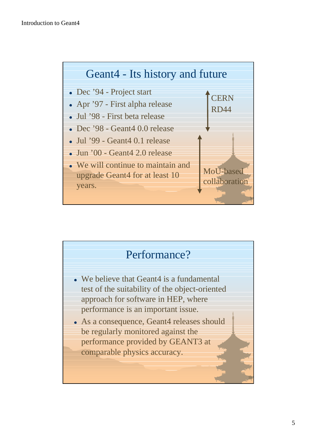

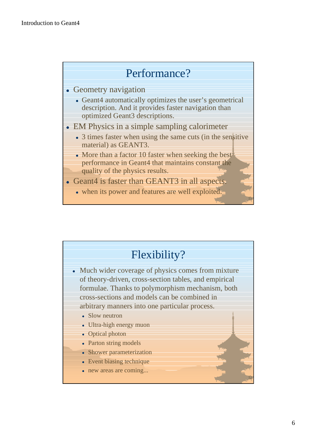## Performance?

- Geometry navigation
	- Geant4 automatically optimizes the user's geometrical description. And it provides faster navigation than optimized Geant3 descriptions.
- EM Physics in a simple sampling calorimeter
	- 3 times faster when using the same cuts (in the sensitive material) as GEANT3.
	- $\bullet$  More than a factor 10 faster when seeking the best performance in Geant4 that maintains constant the quality of the physics results.
- Geant4 is faster than GEANT3 in all aspects.
	- $\bullet$  when its power and features are well exploited.

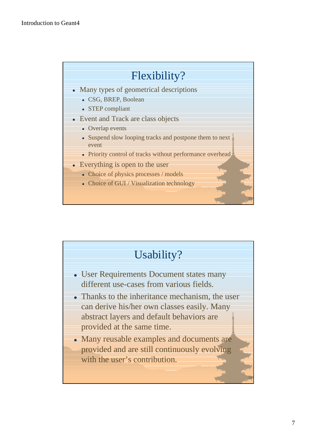## Flexibility?

- Many types of geometrical descriptions
	- CSG, BREP, Boolean
	- STEP compliant
- Event and Track are class objects
	- Overlap events
	- Suspend slow looping tracks and postpone them to next event
	- Priority control of tracks without performance overhead.
- $\bullet$  Everything is open to the user
	- Choice of physics processes / models
	- Choice of GUI / Visualization technology

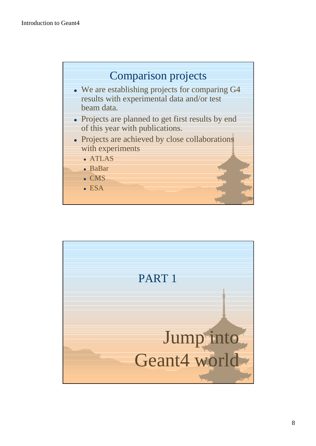

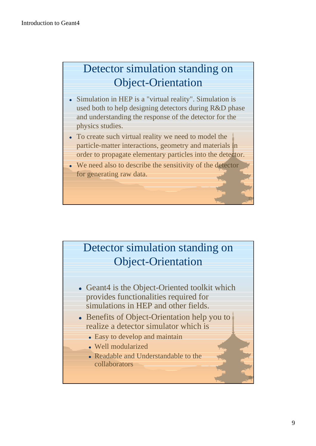# Detector simulation standing on Object-Orientation

- Simulation in HEP is a "virtual reality". Simulation is used both to help designing detectors during R&D phase and understanding the response of the detector for the physics studies.
- To create such virtual reality we need to model the particle-matter interactions, geometry and materials in order to propagate elementary particles into the detector.
- $\bullet$  We need also to describe the sensitivity of the detector for generating raw data.

# Detector simulation standing on Object-Orientation

- Geant4 is the Object-Oriented toolkit which provides functionalities required for simulations in HEP and other fields.
- Benefits of Object-Orientation help you to realize a detector simulator which is
	- Easy to develop and maintain
	- . Well modularized
	- Readable and Understandable to the collaborators

17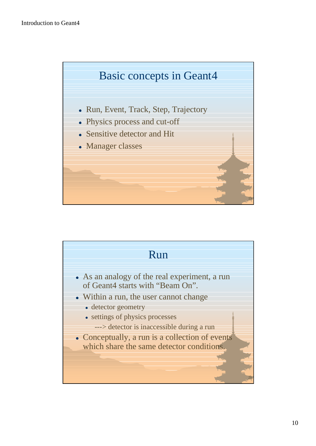

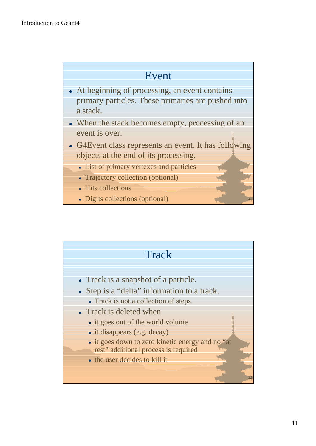#### Event

- $\bullet$  At beginning of processing, an event contains primary particles. These primaries are pushed into a stack.
- $\bullet$  When the stack becomes empty, processing of an event is over.
- G4Event class represents an event. It has following objects at the end of its processing.
	- List of primary vertexes and particles
	- Trajectory collection (optional)
	- Hits collections
	- Digits collections (optional)

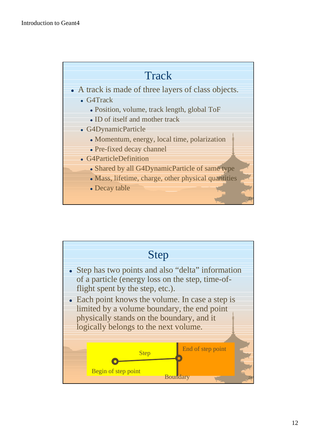#### **Track**

- A track is made of three layers of class objects.
	- G4Track
		- Position, volume, track length, global ToF
		- ID of itself and mother track
	- G4DynamicParticle
		- Momentum, energy, local time, polarization
		- Pre-fixed decay channel
	- G4ParticleDefinition
		- Shared by all G4DynamicParticle of same type
		- Mass, lifetime, charge, other physical quantities

23

• Decay table

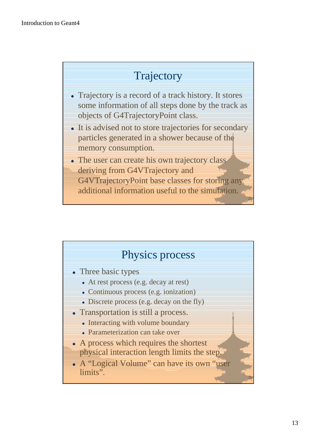# **Trajectory**

- $\bullet$  Trajectory is a record of a track history. It stores some information of all steps done by the track as objects of G4TrajectoryPoint class.
- It is advised not to store trajectories for secondary particles generated in a shower because of the memory consumption.
- The user can create his own trajectory class deriving from G4VTrajectory and G4VTrajectoryPoint base classes for storing any additional information useful to the simulation.

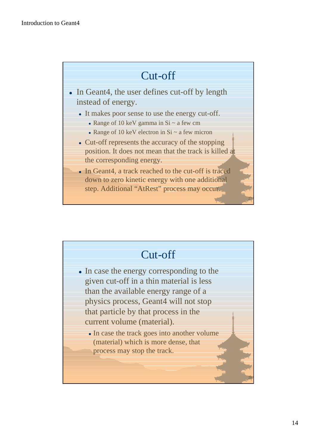## Cut-off

- In Geant4, the user defines cut-off by length instead of energy.
	- It makes poor sense to use the energy cut-off.
		- Range of 10 keV gamma in  $Si \sim a$  few cm
		- Range of 10 keV electron in  $Si \sim a$  few micron
	- $\bullet$  Cut-off represents the accuracy of the stopping position. It does not mean that the track is killed at the corresponding energy.
	- In Geant4, a track reached to the cut-off is traced down to zero kinetic energy with one additional step. Additional "AtRest" process may occur.

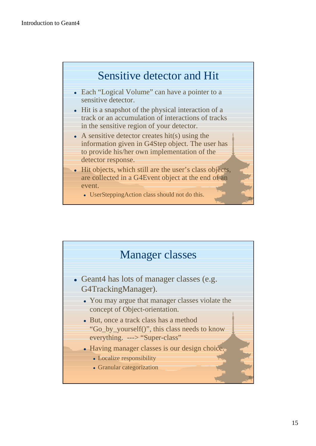

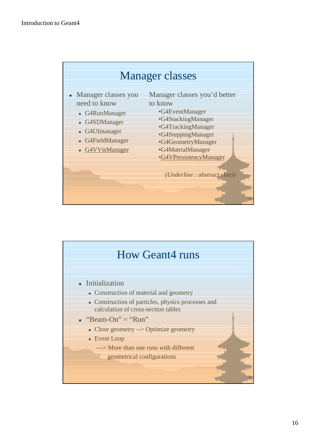

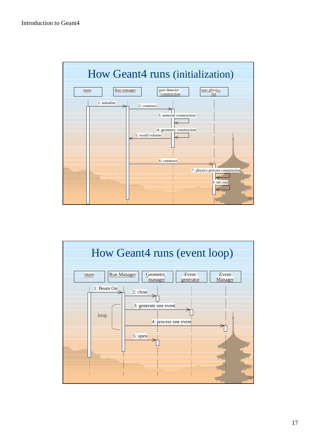

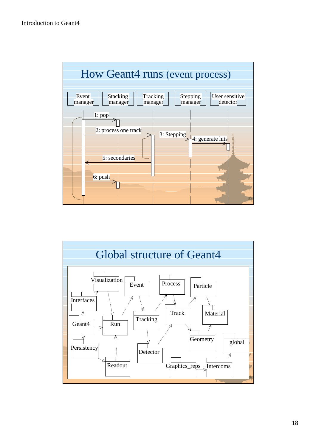

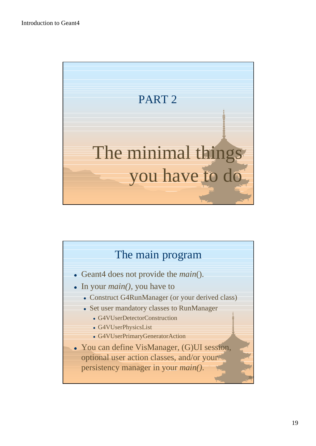

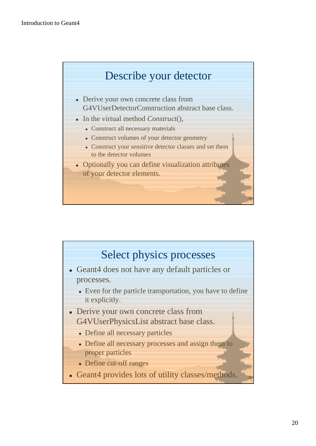

- Derive your own concrete class from G4VUserDetectorConstruction abstract base class.
- In the virtual method *Construct*(),
	- Construct all necessary materials
	- Construct volumes of your detector geometry
	- Construct your sensitive detector classes and set them to the detector volumes
- Optionally you can define visualization attributes of your detector elements.

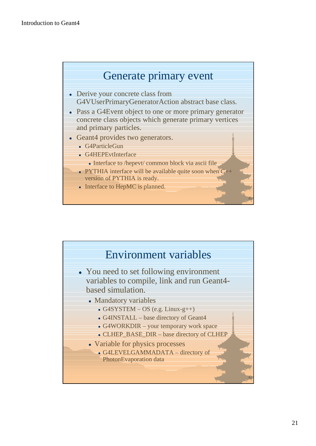

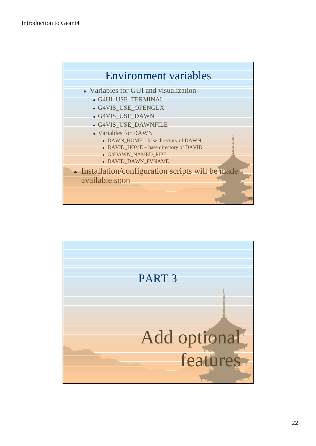

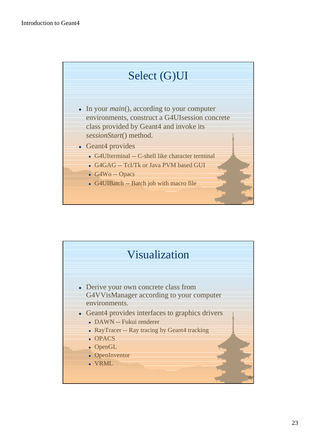

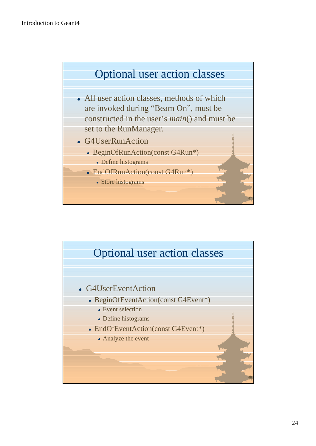

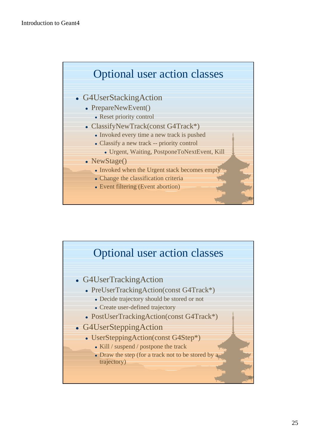

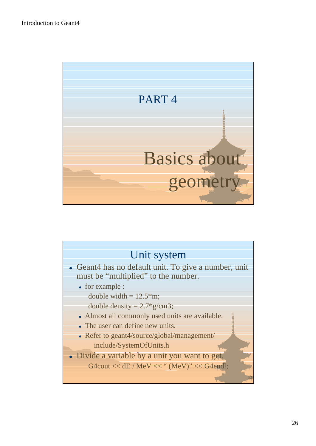

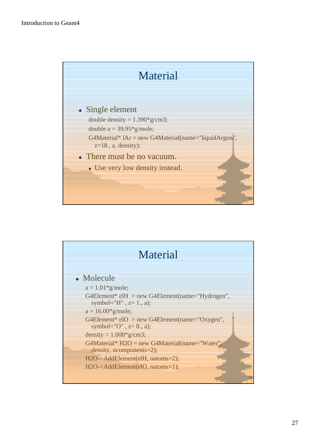

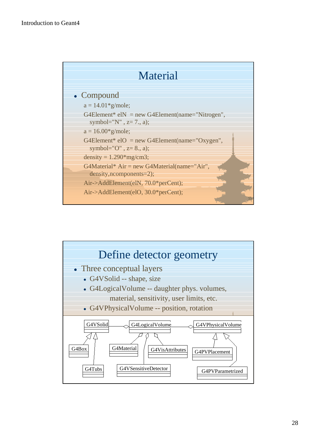

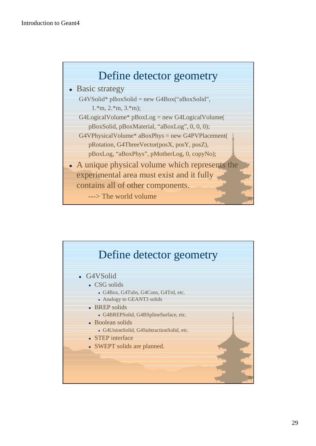

#### • Basic strategy

 $G4V\text{Solid* }p\text{Box}\text{Solid} = new G4Box$ ("aBoxSolid", 1.\*m, 2.\*m, 3.\*m);

 $G4LogicalVolume* pBoxLog = new G4LogicalVolume($  pBoxSolid, pBoxMaterial, "aBoxLog", 0, 0, 0);  $G4VPhysicalVolume* aBoxPhys = new G4PVPlacement($ 

- pRotation, G4ThreeVector(posX, posY, posZ), pBoxLog, "aBoxPhys", pMotherLog, 0, copyNo);
- A unique physical volume which represents the experimental area must exist and it fully contains all of other components.

---> The world volume

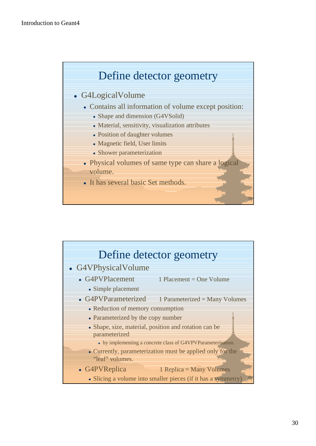

#### • G4LogicalVolume

- Contains all information of volume except position:
	- Shape and dimension (G4VSolid)
	- Material, sensitivity, visualization attributes
	- Position of daughter volumes
	- Magnetic field, User limits
	- Shower parameterization
- Physical volumes of same type can share a logical volume.
- It has several basic Set methods.

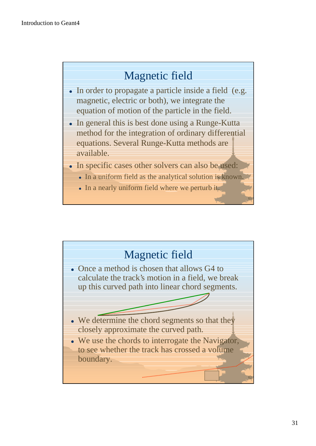# Magnetic field

- $\bullet$  In order to propagate a particle inside a field (e.g. magnetic, electric or both), we integrate the equation of motion of the particle in the field.
- $\bullet$  In general this is best done using a Runge-Kutta method for the integration of ordinary differential equations. Several Runge-Kutta methods are available.
- In specific cases other solvers can also be used:
	- In a uniform field as the analytical solution is known.
	- $\bullet$  In a nearly uniform field where we perturb it.

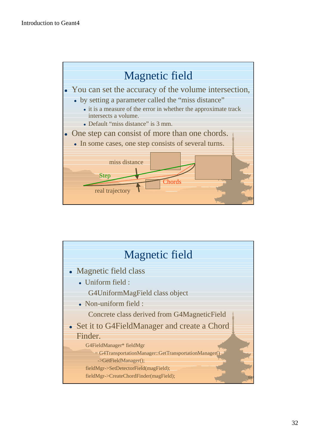

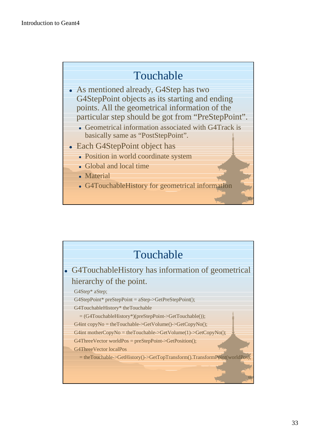## Touchable

- As mentioned already, G4Step has two G4StepPoint objects as its starting and ending points. All the geometrical information of the particular step should be got from "PreStepPoint".
	- Geometrical information associated with G4Track is basically same as "PostStepPoint".
- Each G4StepPoint object has
	- Position in world coordinate system
	- Global and local time
	- Material
	- G4TouchableHistory for geometrical information

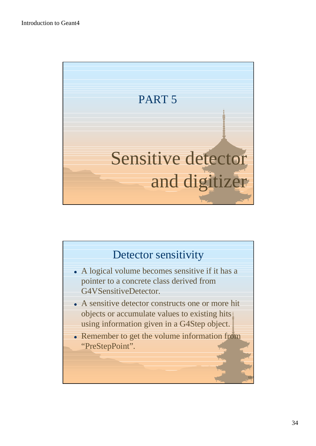

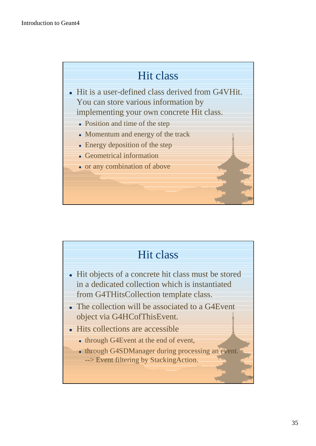

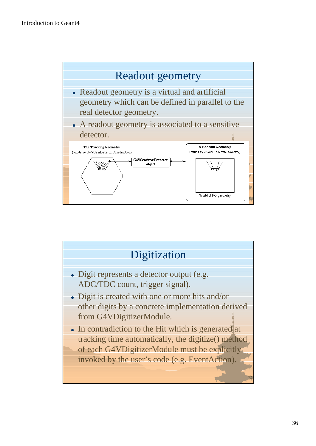

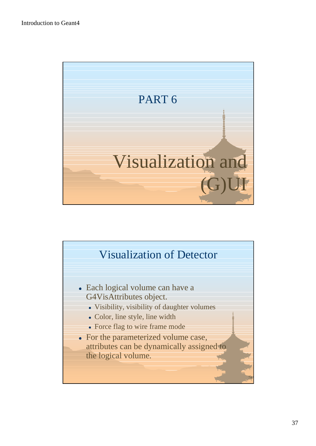

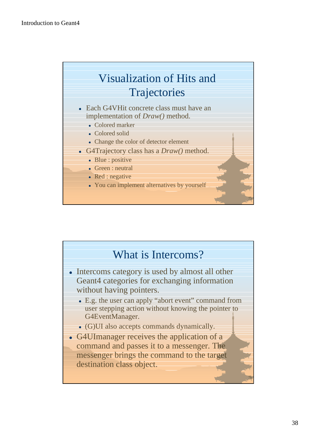

implementation of *Draw()* method.

- Colored marker
- Colored solid
- Change the color of detector element
- G4Trajectory class has a *Draw()* method.
	- $\bullet$  Blue : positive
	- **Green** : neutral
	- $\bullet$  Red : negative
	- You can implement alternatives by yourself

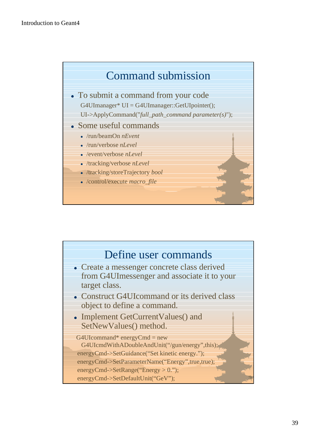

- To submit a command from your code G4UImanager\* UI = G4UImanager::GetUIpointer(); UI->ApplyCommand("*full\_path\_command parameter(s)*");
- Some useful commands
	- <sup>l</sup> /run/beamOn *nEvent*
	- <sup>l</sup> /run/verbose *nLevel*
	- <sup>l</sup> /event/verbose *nLevel*
	- <sup>l</sup> /tracking/verbose *nLevel*
	- <sup>l</sup> /tracking/storeTrajectory *bool*
	- /control/execute *macro* file

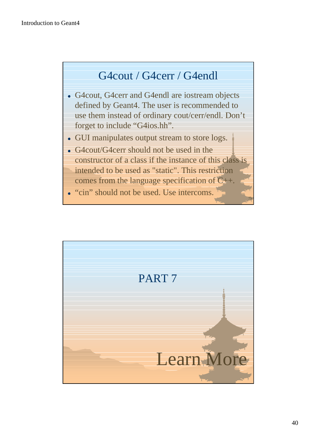# G4cout / G4cerr / G4endl

- G4cout, G4cerr and G4endl are iostream objects defined by Geant4. The user is recommended to use them instead of ordinary cout/cerr/endl. Don't forget to include "G4ios.hh".
- GUI manipulates output stream to store logs.
- G4cout/G4cerr should not be used in the constructor of a class if the instance of this class is intended to be used as "static". This restriction comes from the language specification of  $C_{++}$ .

• "cin" should not be used. Use intercoms.

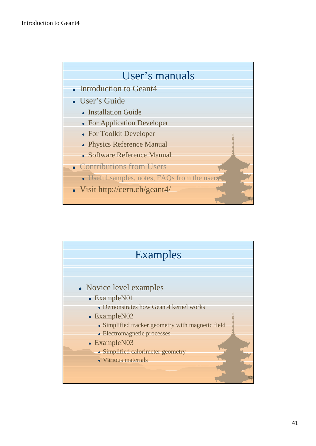### User's manuals

- $\bullet$  Introduction to Geant4
- User's Guide
	- Installation Guide
	- For Application Developer
	- For Toolkit Developer
	- Physics Reference Manual
	- **Software Reference Manual**
- Contributions from Users
	- Useful samples, notes, FAQs from the users
- Visit http://cern.ch/geant4/